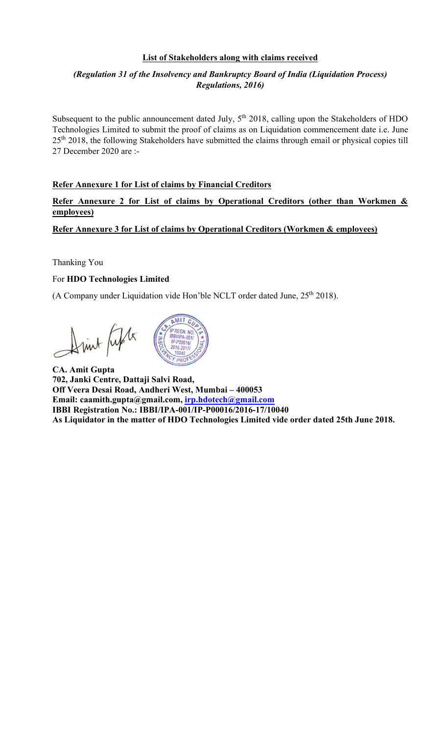## List of Stakeholders along with claims received

# (Regulation 31 of the Insolvency and Bankruptcy Board of India (Liquidation Process) Regulations, 2016)

Subsequent to the public announcement dated July, 5<sup>th</sup> 2018, calling upon the Stakeholders of HDO Technologies Limited to submit the proof of claims as on Liquidation commencement date i.e. June 25<sup>th</sup> 2018, the following Stakeholders have submitted the claims through email or physical copies till 27 December 2020 are :-

### Refer Annexure 1 for List of claims by Financial Creditors

Refer Annexure 2 for List of claims by Operational Creditors (other than Workmen & employees)

Refer Annexure 3 for List of claims by Operational Creditors (Workmen & employees)

Thanking You

#### For HDO Technologies Limited

(A Company under Liquidation vide Hon'ble NCLT order dated June, 25<sup>th</sup> 2018).

Drink Lifts



CA. Amit Gupta 702, Janki Centre, Dattaji Salvi Road, Off Veera Desai Road, Andheri West, Mumbai – 400053 Email: caamith.gupta@gmail.com, irp.hdotech@gmail.com IBBI Registration No.: IBBI/IPA-001/IP-P00016/2016-17/10040 As Liquidator in the matter of HDO Technologies Limited vide order dated 25th June 2018.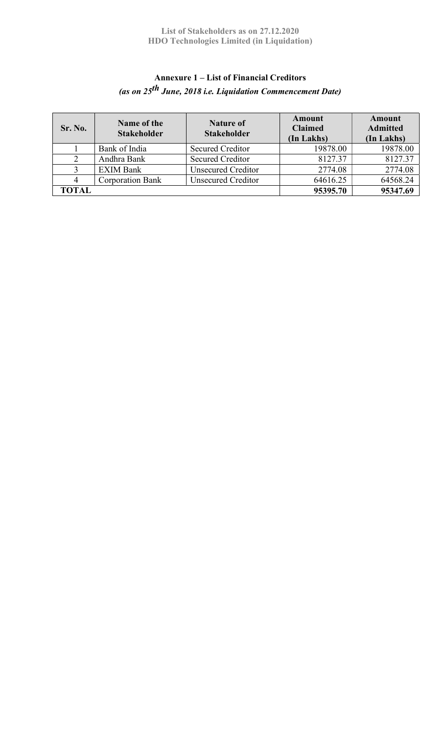# Annexure 1 – List of Financial Creditors (as on 25<sup>th</sup> June, 2018 i.e. Liquidation Commencement Date)

| Sr. No.        | Name of the<br><b>Stakeholder</b> | <b>Nature of</b><br><b>Stakeholder</b> | <b>Amount</b><br><b>Claimed</b><br>(In Lakhs) | Amount<br><b>Admitted</b><br>(In Lakhs) |
|----------------|-----------------------------------|----------------------------------------|-----------------------------------------------|-----------------------------------------|
|                | Bank of India                     | <b>Secured Creditor</b>                | 19878.00                                      | 19878.00                                |
| $\overline{2}$ | Andhra Bank                       | <b>Secured Creditor</b>                | 8127.37                                       | 8127.37                                 |
|                | <b>EXIM Bank</b>                  | <b>Unsecured Creditor</b>              | 2774.08                                       | 2774.08                                 |
|                | <b>Corporation Bank</b>           | <b>Unsecured Creditor</b>              | 64616.25                                      | 64568.24                                |
| <b>TOTAL</b>   |                                   |                                        | 95395.70                                      | 95347.69                                |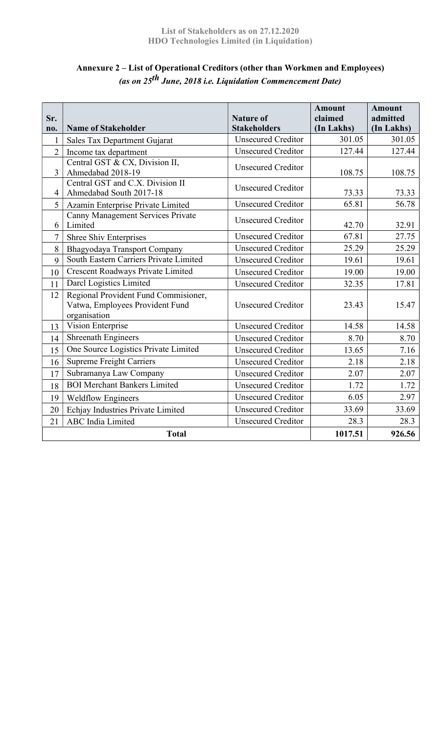| Sr.<br>no.     | <b>Name of Stakeholder</b>                                                              | <b>Nature of</b><br><b>Stakeholders</b> | <b>Amount</b><br>claimed<br>(In Lakhs) | <b>Amount</b><br>admitted<br>(In Lakhs) |
|----------------|-----------------------------------------------------------------------------------------|-----------------------------------------|----------------------------------------|-----------------------------------------|
| 1              | Sales Tax Department Gujarat                                                            | <b>Unsecured Creditor</b>               | 301.05                                 | 301.05                                  |
| $\overline{2}$ | Income tax department                                                                   | <b>Unsecured Creditor</b>               | 127.44                                 | 127.44                                  |
| 3              | Central GST & CX, Division II,<br>Ahmedabad 2018-19                                     | <b>Unsecured Creditor</b>               | 108.75                                 | 108.75                                  |
| $\overline{4}$ | Central GST and C.X. Division II<br>Ahmedabad South 2017-18                             | <b>Unsecured Creditor</b>               | 73.33                                  | 73.33                                   |
| 5              | Azamin Enterprise Private Limited                                                       | <b>Unsecured Creditor</b>               | 65.81                                  | 56.78                                   |
| 6              | Canny Management Services Private<br>Limited                                            | <b>Unsecured Creditor</b>               | 42.70                                  | 32.91                                   |
| $\tau$         | Shree Shiv Enterprises                                                                  | <b>Unsecured Creditor</b>               | 67.81                                  | 27.75                                   |
| 8              | Bhagyodaya Transport Company                                                            | <b>Unsecured Creditor</b>               | 25.29                                  | 25.29                                   |
| 9              | South Eastern Carriers Private Limited                                                  | <b>Unsecured Creditor</b>               | 19.61                                  | 19.61                                   |
| 10             | Crescent Roadways Private Limited                                                       | <b>Unsecured Creditor</b>               | 19.00                                  | 19.00                                   |
| 11             | Darcl Logistics Limited                                                                 | <b>Unsecured Creditor</b>               | 32.35                                  | 17.81                                   |
| 12             | Regional Provident Fund Commisioner,<br>Vatwa, Employees Provident Fund<br>organisation | <b>Unsecured Creditor</b>               | 23.43                                  | 15.47                                   |
| 13             | Vision Enterprise                                                                       | <b>Unsecured Creditor</b>               | 14.58                                  | 14.58                                   |
| 14             | <b>Shreenath Engineers</b>                                                              | <b>Unsecured Creditor</b>               | 8.70                                   | 8.70                                    |
| 15             | One Source Logistics Private Limited                                                    | <b>Unsecured Creditor</b>               | 13.65                                  | 7.16                                    |
| 16             | <b>Supreme Freight Carriers</b>                                                         | <b>Unsecured Creditor</b>               | 2.18                                   | 2.18                                    |
| 17             | Subramanya Law Company                                                                  | <b>Unsecured Creditor</b>               | 2.07                                   | 2.07                                    |
| 18             | <b>BOI Merchant Bankers Limited</b>                                                     | <b>Unsecured Creditor</b>               | 1.72                                   | 1.72                                    |
| 19             | <b>Weldflow Engineers</b>                                                               | <b>Unsecured Creditor</b>               | 6.05                                   | 2.97                                    |
| 20             | Echjay Industries Private Limited                                                       | <b>Unsecured Creditor</b>               | 33.69                                  | 33.69                                   |
| 21             | <b>ABC</b> India Limited                                                                | <b>Unsecured Creditor</b>               | 28.3                                   | 28.3                                    |
|                | <b>Total</b>                                                                            |                                         | 1017.51                                | 926.56                                  |

# Annexure 2 – List of Operational Creditors (other than Workmen and Employees) (as on  $25^{th}$  June, 2018 i.e. Liquidation Commencement Date)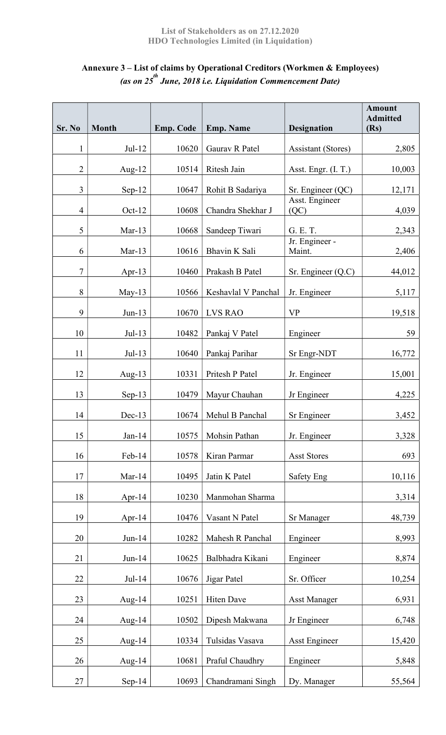### List of Stakeholders as on 27.12.2020 HDO Technologies Limited (in Liquidation)

# Annexure 3 – List of claims by Operational Creditors (Workmen & Employees) (as on 25<sup>th</sup> June, 2018 i.e. Liquidation Commencement Date)

| Sr. No           | <b>Month</b> | <b>Emp. Code</b> | <b>Emp. Name</b>    | <b>Designation</b>        | <b>Amount</b><br><b>Admitted</b><br>(Rs) |
|------------------|--------------|------------------|---------------------|---------------------------|------------------------------------------|
| 1                | $Jul-12$     | 10620            | Gaurav R Patel      | <b>Assistant (Stores)</b> | 2,805                                    |
| $\overline{2}$   | Aug-12       | 10514            | Ritesh Jain         | Asst. Engr. (I. T.)       | 10,003                                   |
| $\overline{3}$   | $Sep-12$     | 10647            | Rohit B Sadariya    | Sr. Engineer (QC)         | 12,171                                   |
| $\overline{4}$   | $Oct-12$     | 10608            | Chandra Shekhar J   | Asst. Engineer<br>(QC)    | 4,039                                    |
| 5                | $Mar-13$     | 10668            | Sandeep Tiwari      | G. E. T.                  | 2,343                                    |
| 6                | $Mar-13$     | 10616            | Bhavin K Sali       | Jr. Engineer -<br>Maint.  | 2,406                                    |
| $\boldsymbol{7}$ | Apr-13       | 10460            | Prakash B Patel     | Sr. Engineer $(Q.C)$      | 44,012                                   |
| 8                | $May-13$     | 10566            | Keshavlal V Panchal | Jr. Engineer              | 5,117                                    |
| 9                | $Jun-13$     | 10670            | <b>LVS RAO</b>      | <b>VP</b>                 | 19,518                                   |
| 10               | $Jul-13$     | 10482            | Pankaj V Patel      | Engineer                  | 59                                       |
| 11               | $Jul-13$     | 10640            | Pankaj Parihar      | Sr Engr-NDT               | 16,772                                   |
| 12               | Aug- $13$    | 10331            | Pritesh P Patel     | Jr. Engineer              | 15,001                                   |
| 13               | $Sep-13$     | 10479            | Mayur Chauhan       | Jr Engineer               | 4,225                                    |
| 14               | $Dec-13$     | 10674            | Mehul B Panchal     | Sr Engineer               | 3,452                                    |
| 15               | $Jan-14$     | 10575            | Mohsin Pathan       | Jr. Engineer              | 3,328                                    |
| 16               | Feb-14       | 10578            | Kiran Parmar        | <b>Asst Stores</b>        | 693                                      |
| 17               | $Mar-14$     | 10495            | Jatin K Patel       | <b>Safety Eng</b>         | 10,116                                   |
| 18               | Apr- $14$    | 10230            | Manmohan Sharma     |                           | 3,314                                    |
| 19               | Apr- $14$    | 10476            | Vasant N Patel      | <b>Sr Manager</b>         | 48,739                                   |
| 20               | $Jun-14$     | 10282            | Mahesh R Panchal    | Engineer                  | 8,993                                    |
| 21               | $Jun-14$     | 10625            | Balbhadra Kikani    | Engineer                  | 8,874                                    |
| 22               | $Jul-14$     | 10676            | Jigar Patel         | Sr. Officer               | 10,254                                   |
| 23               | Aug-14       | 10251            | Hiten Dave          | <b>Asst Manager</b>       | 6,931                                    |
| 24               | Aug- $14$    | 10502            | Dipesh Makwana      | Jr Engineer               | 6,748                                    |
| 25               | Aug- $14$    | 10334            | Tulsidas Vasava     | Asst Engineer             | 15,420                                   |
| 26               | Aug-14       | 10681            | Praful Chaudhry     | Engineer                  | 5,848                                    |
| 27               | $Sep-14$     | 10693            | Chandramani Singh   | Dy. Manager               | 55,564                                   |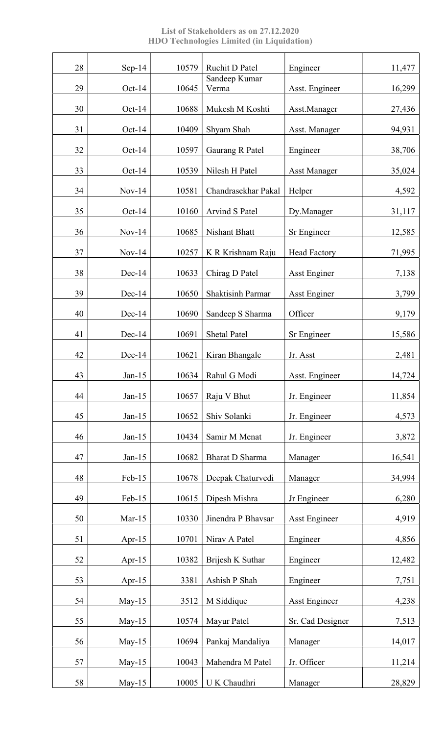List of Stakeholders as on 27.12.2020 HDO Technologies Limited (in Liquidation)

| 28 | $Sep-14$  | 10579 | Ruchit D Patel           | Engineer             | 11,477 |
|----|-----------|-------|--------------------------|----------------------|--------|
| 29 | $Oct-14$  | 10645 | Sandeep Kumar<br>Verma   | Asst. Engineer       | 16,299 |
| 30 | $Oct-14$  | 10688 | Mukesh M Koshti          | Asst.Manager         | 27,436 |
| 31 | $Oct-14$  | 10409 | Shyam Shah               | Asst. Manager        | 94,931 |
| 32 | $Oct-14$  | 10597 | Gaurang R Patel          | Engineer             | 38,706 |
| 33 | $Oct-14$  | 10539 | Nilesh H Patel           | <b>Asst Manager</b>  | 35,024 |
| 34 | $Nov-14$  | 10581 | Chandrasekhar Pakal      | Helper               | 4,592  |
| 35 | Oct-14    | 10160 | Arvind S Patel           | Dy.Manager           | 31,117 |
| 36 | $Nov-14$  | 10685 | Nishant Bhatt            | Sr Engineer          | 12,585 |
| 37 | $Nov-14$  | 10257 | K R Krishnam Raju        | <b>Head Factory</b>  | 71,995 |
| 38 | $Dec-14$  | 10633 | Chirag D Patel           | <b>Asst Enginer</b>  | 7,138  |
| 39 | $Dec-14$  | 10650 | <b>Shaktisinh Parmar</b> | <b>Asst Enginer</b>  | 3,799  |
| 40 | $Dec-14$  | 10690 | Sandeep S Sharma         | Officer              | 9,179  |
| 41 | $Dec-14$  | 10691 | <b>Shetal Patel</b>      | Sr Engineer          | 15,586 |
| 42 | $Dec-14$  | 10621 | Kiran Bhangale           | Jr. Asst             | 2,481  |
| 43 | Jan-15    | 10634 | Rahul G Modi             | Asst. Engineer       | 14,724 |
| 44 | $Jan-15$  | 10657 | Raju V Bhut              | Jr. Engineer         | 11,854 |
| 45 | $Jan-15$  | 10652 | Shiv Solanki             | Jr. Engineer         | 4,573  |
| 46 | $Jan-15$  | 10434 | Samir M Menat            | Jr. Engineer         | 3,872  |
| 47 | $Jan-15$  | 10682 | <b>Bharat D Sharma</b>   | Manager              | 16,541 |
| 48 | Feb-15    | 10678 | Deepak Chaturvedi        | Manager              | 34,994 |
| 49 | Feb-15    | 10615 | Dipesh Mishra            | Jr Engineer          | 6,280  |
| 50 | $Mar-15$  | 10330 | Jinendra P Bhavsar       | <b>Asst Engineer</b> | 4,919  |
| 51 | Apr- $15$ | 10701 | Nirav A Patel            | Engineer             | 4,856  |
| 52 | Apr-15    | 10382 | Brijesh K Suthar         | Engineer             | 12,482 |
| 53 | Apr- $15$ | 3381  | Ashish P Shah            | Engineer             | 7,751  |
| 54 | $May-15$  | 3512  | M Siddique               | <b>Asst Engineer</b> | 4,238  |
| 55 | $May-15$  | 10574 | Mayur Patel              | Sr. Cad Designer     | 7,513  |
| 56 | $May-15$  | 10694 | Pankaj Mandaliya         | Manager              | 14,017 |
| 57 | May- $15$ | 10043 | Mahendra M Patel         | Jr. Officer          | 11,214 |
| 58 | $May-15$  | 10005 | U K Chaudhri             | Manager              | 28,829 |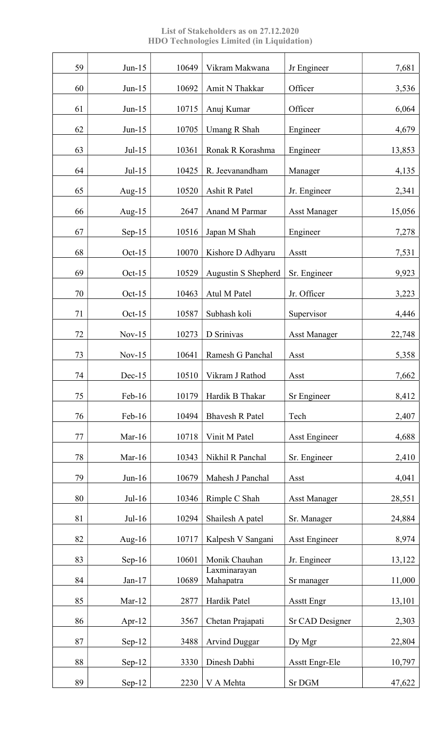List of Stakeholders as on 27.12.2020 HDO Technologies Limited (in Liquidation)

| 59 | $Jun-15$  | 10649 | Vikram Makwana            | Jr Engineer           | 7,681  |
|----|-----------|-------|---------------------------|-----------------------|--------|
| 60 | $Jun-15$  | 10692 | Amit N Thakkar            | Officer               | 3,536  |
| 61 | $Jun-15$  | 10715 | Anuj Kumar                | Officer               | 6,064  |
| 62 | $Jun-15$  | 10705 | <b>Umang R Shah</b>       | Engineer              | 4,679  |
| 63 | $Jul-15$  | 10361 | Ronak R Korashma          | Engineer              | 13,853 |
| 64 | $Jul-15$  | 10425 | R. Jeevanandham           | Manager               | 4,135  |
| 65 | Aug- $15$ | 10520 | Ashit R Patel             | Jr. Engineer          | 2,341  |
| 66 | Aug- $15$ | 2647  | Anand M Parmar            | <b>Asst Manager</b>   | 15,056 |
| 67 | $Sep-15$  | 10516 | Japan M Shah              | Engineer              | 7,278  |
| 68 | Oct- $15$ | 10070 | Kishore D Adhyaru         | Asstt                 | 7,531  |
| 69 | $Oct-15$  | 10529 | Augustin S Shepherd       | Sr. Engineer          | 9,923  |
| 70 | $Oct-15$  | 10463 | Atul M Patel              | Jr. Officer           | 3,223  |
| 71 | Oct- $15$ | 10587 | Subhash koli              | Supervisor            | 4,446  |
| 72 | $Nov-15$  | 10273 | D Srinivas                | <b>Asst Manager</b>   | 22,748 |
| 73 | $Nov-15$  | 10641 | Ramesh G Panchal          | Asst                  | 5,358  |
| 74 | $Dec-15$  | 10510 | Vikram J Rathod           | Asst                  | 7,662  |
| 75 | Feb-16    | 10179 | Hardik B Thakar           | Sr Engineer           | 8,412  |
| 76 | Feb-16    | 10494 | <b>Bhavesh R Patel</b>    | Tech                  | 2,407  |
| 77 | $Mar-16$  | 10718 | Vinit M Patel             | <b>Asst Engineer</b>  | 4,688  |
| 78 | Mar- $16$ | 10343 | Nikhil R Panchal          | Sr. Engineer          | 2,410  |
| 79 | $Jun-16$  | 10679 | Mahesh J Panchal          | Asst                  | 4,041  |
| 80 | $Jul-16$  | 10346 | Rimple C Shah             | <b>Asst Manager</b>   | 28,551 |
| 81 | $Jul-16$  | 10294 | Shailesh A patel          | Sr. Manager           | 24,884 |
| 82 | Aug- $16$ | 10717 | Kalpesh V Sangani         | <b>Asst Engineer</b>  | 8,974  |
| 83 | $Sep-16$  | 10601 | Monik Chauhan             | Jr. Engineer          | 13,122 |
| 84 | $Jan-17$  | 10689 | Laxminarayan<br>Mahapatra | Sr manager            | 11,000 |
| 85 | $Mar-12$  | 2877  | Hardik Patel              | <b>Asstt Engr</b>     | 13,101 |
| 86 | Apr- $12$ | 3567  | Chetan Prajapati          | Sr CAD Designer       | 2,303  |
| 87 | $Sep-12$  | 3488  | <b>Arvind Duggar</b>      | Dy Mgr                | 22,804 |
| 88 | $Sep-12$  | 3330  | Dinesh Dabhi              | <b>Asstt Engr-Ele</b> | 10,797 |
| 89 | Sep-12    | 2230  | V A Mehta                 | Sr DGM                | 47,622 |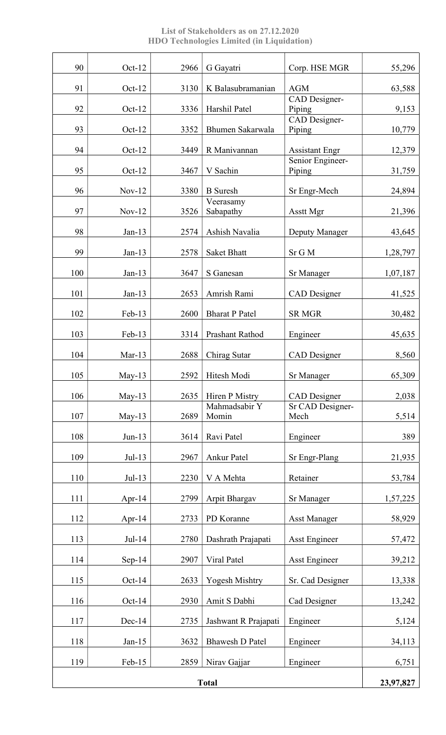List of Stakeholders as on 27.12.2020 HDO Technologies Limited (in Liquidation)

| 90           | Oct-12   | 2966 | G Gayatri              | Corp. HSE MGR              | 55,296    |
|--------------|----------|------|------------------------|----------------------------|-----------|
| 91           | $Oct-12$ | 3130 | K Balasubramanian      | <b>AGM</b>                 | 63,588    |
| 92           | $Oct-12$ | 3336 | Harshil Patel          | CAD Designer-<br>Piping    | 9,153     |
|              |          |      |                        | CAD Designer-              |           |
| 93           | $Oct-12$ | 3352 | Bhumen Sakarwala       | Piping                     | 10,779    |
| 94           | $Oct-12$ | 3449 | R Manivannan           | <b>Assistant Engr</b>      | 12,379    |
| 95           | $Oct-12$ | 3467 | V Sachin               | Senior Engineer-<br>Piping | 31,759    |
| 96           | $Nov-12$ | 3380 | <b>B</b> Suresh        | Sr Engr-Mech               | 24,894    |
| 97           | $Nov-12$ | 3526 | Veerasamy<br>Sabapathy | Asstt Mgr                  | 21,396    |
| 98           | $Jan-13$ | 2574 | Ashish Navalia         | Deputy Manager             | 43,645    |
| 99           | $Jan-13$ | 2578 | <b>Saket Bhatt</b>     | Sr G M                     | 1,28,797  |
| 100          | $Jan-13$ | 3647 | S Ganesan              | Sr Manager                 | 1,07,187  |
| 101          | $Jan-13$ | 2653 | Amrish Rami            | <b>CAD</b> Designer        | 41,525    |
| 102          | Feb-13   | 2600 | <b>Bharat P Patel</b>  | <b>SR MGR</b>              | 30,482    |
| 103          | Feb-13   | 3314 | Prashant Rathod        | Engineer                   | 45,635    |
| 104          | $Mar-13$ | 2688 | Chirag Sutar           | <b>CAD</b> Designer        | 8,560     |
| 105          | May-13   | 2592 | Hitesh Modi            | Sr Manager                 | 65,309    |
| 106          | $May-13$ | 2635 | Hiren P Mistry         | <b>CAD</b> Designer        | 2,038     |
| 107          | $May-13$ | 2689 | Mahmadsabir Y<br>Momin | Sr CAD Designer-<br>Mech   | 5,514     |
| 108          | $Jun-13$ | 3614 | Ravi Patel             | Engineer                   | 389       |
| 109          | $Jul-13$ | 2967 | Ankur Patel            | Sr Engr-Plang              | 21,935    |
| 110          | $Jul-13$ | 2230 | V A Mehta              | Retainer                   | 53,784    |
| 111          | Apr-14   | 2799 | Arpit Bhargav          | Sr Manager                 | 1,57,225  |
| 112          | Apr-14   | 2733 | PD Koranne             | <b>Asst Manager</b>        | 58,929    |
| 113          | Jul-14   | 2780 | Dashrath Prajapati     | Asst Engineer              | 57,472    |
| 114          | $Sep-14$ | 2907 | Viral Patel            | <b>Asst Engineer</b>       | 39,212    |
| 115          | $Oct-14$ | 2633 | <b>Yogesh Mishtry</b>  | Sr. Cad Designer           | 13,338    |
| 116          | $Oct-14$ | 2930 | Amit S Dabhi           | Cad Designer               | 13,242    |
| 117          | $Dec-14$ | 2735 | Jashwant R Prajapati   | Engineer                   | 5,124     |
| 118          | $Jan-15$ | 3632 | <b>Bhawesh D Patel</b> | Engineer                   | 34,113    |
| 119          | Feb-15   | 2859 | Nirav Gajjar           | Engineer                   | 6,751     |
| <b>Total</b> |          |      |                        |                            | 23,97,827 |